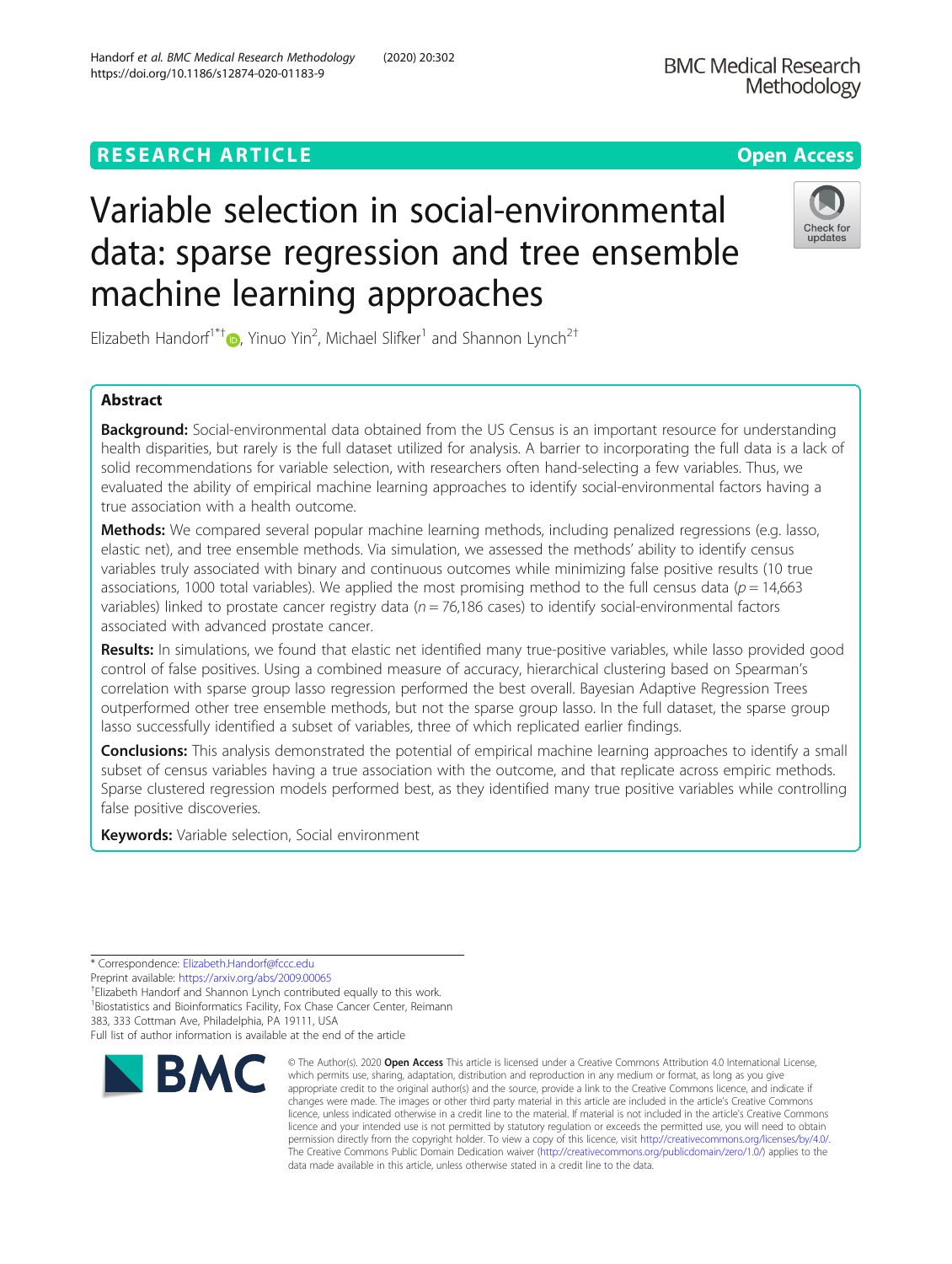# **RESEARCH ARTICLE Example 2014 12:30 The Open Access**

# Variable selection in social-environmental data: sparse regression and tree ensemble machine learning approaches

Elizabeth Handorf<sup>1\*[†](http://orcid.org/0000-0003-0445-8978)</sup> $\bullet$ , Yinuo Yin<sup>2</sup>, Michael Slifker<sup>1</sup> and Shannon Lynch<sup>2†</sup>

# Abstract

**Background:** Social-environmental data obtained from the US Census is an important resource for understanding health disparities, but rarely is the full dataset utilized for analysis. A barrier to incorporating the full data is a lack of solid recommendations for variable selection, with researchers often hand-selecting a few variables. Thus, we evaluated the ability of empirical machine learning approaches to identify social-environmental factors having a true association with a health outcome.

Methods: We compared several popular machine learning methods, including penalized regressions (e.g. lasso, elastic net), and tree ensemble methods. Via simulation, we assessed the methods' ability to identify census variables truly associated with binary and continuous outcomes while minimizing false positive results (10 true associations, 1000 total variables). We applied the most promising method to the full census data ( $p = 14,663$ variables) linked to prostate cancer registry data ( $n = 76,186$  cases) to identify social-environmental factors associated with advanced prostate cancer.

Results: In simulations, we found that elastic net identified many true-positive variables, while lasso provided good control of false positives. Using a combined measure of accuracy, hierarchical clustering based on Spearman's correlation with sparse group lasso regression performed the best overall. Bayesian Adaptive Regression Trees outperformed other tree ensemble methods, but not the sparse group lasso. In the full dataset, the sparse group lasso successfully identified a subset of variables, three of which replicated earlier findings.

Conclusions: This analysis demonstrated the potential of empirical machine learning approaches to identify a small subset of census variables having a true association with the outcome, and that replicate across empiric methods. Sparse clustered regression models performed best, as they identified many true positive variables while controlling false positive discoveries.

**Keywords:** Variable selection, Social environment

\* Correspondence: [Elizabeth.Handorf@fccc.edu](mailto:Elizabeth.Handorf@fccc.edu)

Preprint available: <https://arxiv.org/abs/2009.00065> †

Elizabeth Handorf and Shannon Lynch contributed equally to this work. <sup>1</sup> Biostatistics and Bioinformatics Facility, Fox Chase Cancer Center, Reimann 383, 333 Cottman Ave, Philadelphia, PA 19111, USA

Full list of author information is available at the end of the article



© The Author(s), 2020 **Open Access** This article is licensed under a Creative Commons Attribution 4.0 International License,

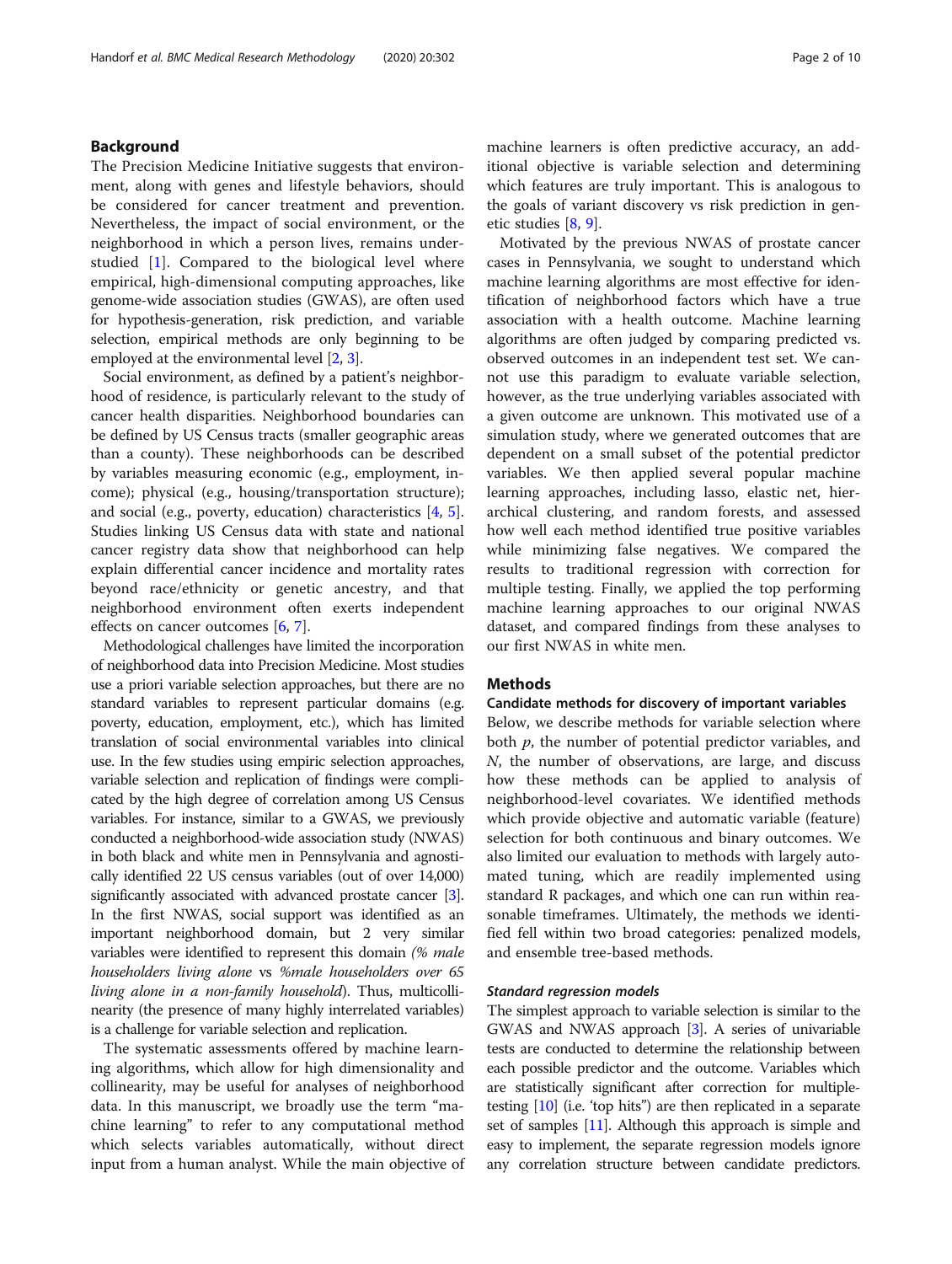# Background

The Precision Medicine Initiative suggests that environment, along with genes and lifestyle behaviors, should be considered for cancer treatment and prevention. Nevertheless, the impact of social environment, or the neighborhood in which a person lives, remains understudied  $[1]$  $[1]$  $[1]$ . Compared to the biological level where empirical, high-dimensional computing approaches, like genome-wide association studies (GWAS), are often used for hypothesis-generation, risk prediction, and variable selection, empirical methods are only beginning to be employed at the environmental level [[2,](#page-9-0) [3](#page-9-0)].

Social environment, as defined by a patient's neighborhood of residence, is particularly relevant to the study of cancer health disparities. Neighborhood boundaries can be defined by US Census tracts (smaller geographic areas than a county). These neighborhoods can be described by variables measuring economic (e.g., employment, income); physical (e.g., housing/transportation structure); and social (e.g., poverty, education) characteristics [[4,](#page-9-0) [5](#page-9-0)]. Studies linking US Census data with state and national cancer registry data show that neighborhood can help explain differential cancer incidence and mortality rates beyond race/ethnicity or genetic ancestry, and that neighborhood environment often exerts independent effects on cancer outcomes [\[6](#page-9-0), [7](#page-9-0)].

Methodological challenges have limited the incorporation of neighborhood data into Precision Medicine. Most studies use a priori variable selection approaches, but there are no standard variables to represent particular domains (e.g. poverty, education, employment, etc.), which has limited translation of social environmental variables into clinical use. In the few studies using empiric selection approaches, variable selection and replication of findings were complicated by the high degree of correlation among US Census variables. For instance, similar to a GWAS, we previously conducted a neighborhood-wide association study (NWAS) in both black and white men in Pennsylvania and agnostically identified 22 US census variables (out of over 14,000) significantly associated with advanced prostate cancer [[3](#page-9-0)]. In the first NWAS, social support was identified as an important neighborhood domain, but 2 very similar variables were identified to represent this domain (% male householders living alone vs %male householders over 65 living alone in a non-family household). Thus, multicollinearity (the presence of many highly interrelated variables) is a challenge for variable selection and replication.

The systematic assessments offered by machine learning algorithms, which allow for high dimensionality and collinearity, may be useful for analyses of neighborhood data. In this manuscript, we broadly use the term "machine learning" to refer to any computational method which selects variables automatically, without direct input from a human analyst. While the main objective of machine learners is often predictive accuracy, an additional objective is variable selection and determining which features are truly important. This is analogous to the goals of variant discovery vs risk prediction in genetic studies [[8](#page-9-0), [9](#page-9-0)].

Motivated by the previous NWAS of prostate cancer cases in Pennsylvania, we sought to understand which machine learning algorithms are most effective for identification of neighborhood factors which have a true association with a health outcome. Machine learning algorithms are often judged by comparing predicted vs. observed outcomes in an independent test set. We cannot use this paradigm to evaluate variable selection, however, as the true underlying variables associated with a given outcome are unknown. This motivated use of a simulation study, where we generated outcomes that are dependent on a small subset of the potential predictor variables. We then applied several popular machine learning approaches, including lasso, elastic net, hierarchical clustering, and random forests, and assessed how well each method identified true positive variables while minimizing false negatives. We compared the results to traditional regression with correction for multiple testing. Finally, we applied the top performing machine learning approaches to our original NWAS dataset, and compared findings from these analyses to our first NWAS in white men.

# **Methods**

#### Candidate methods for discovery of important variables

Below, we describe methods for variable selection where both  $p$ , the number of potential predictor variables, and N, the number of observations, are large, and discuss how these methods can be applied to analysis of neighborhood-level covariates. We identified methods which provide objective and automatic variable (feature) selection for both continuous and binary outcomes. We also limited our evaluation to methods with largely automated tuning, which are readily implemented using standard R packages, and which one can run within reasonable timeframes. Ultimately, the methods we identified fell within two broad categories: penalized models, and ensemble tree-based methods.

### Standard regression models

The simplest approach to variable selection is similar to the GWAS and NWAS approach [[3](#page-9-0)]. A series of univariable tests are conducted to determine the relationship between each possible predictor and the outcome. Variables which are statistically significant after correction for multipletesting [\[10](#page-9-0)] (i.e. 'top hits") are then replicated in a separate set of samples [\[11\]](#page-9-0). Although this approach is simple and easy to implement, the separate regression models ignore any correlation structure between candidate predictors.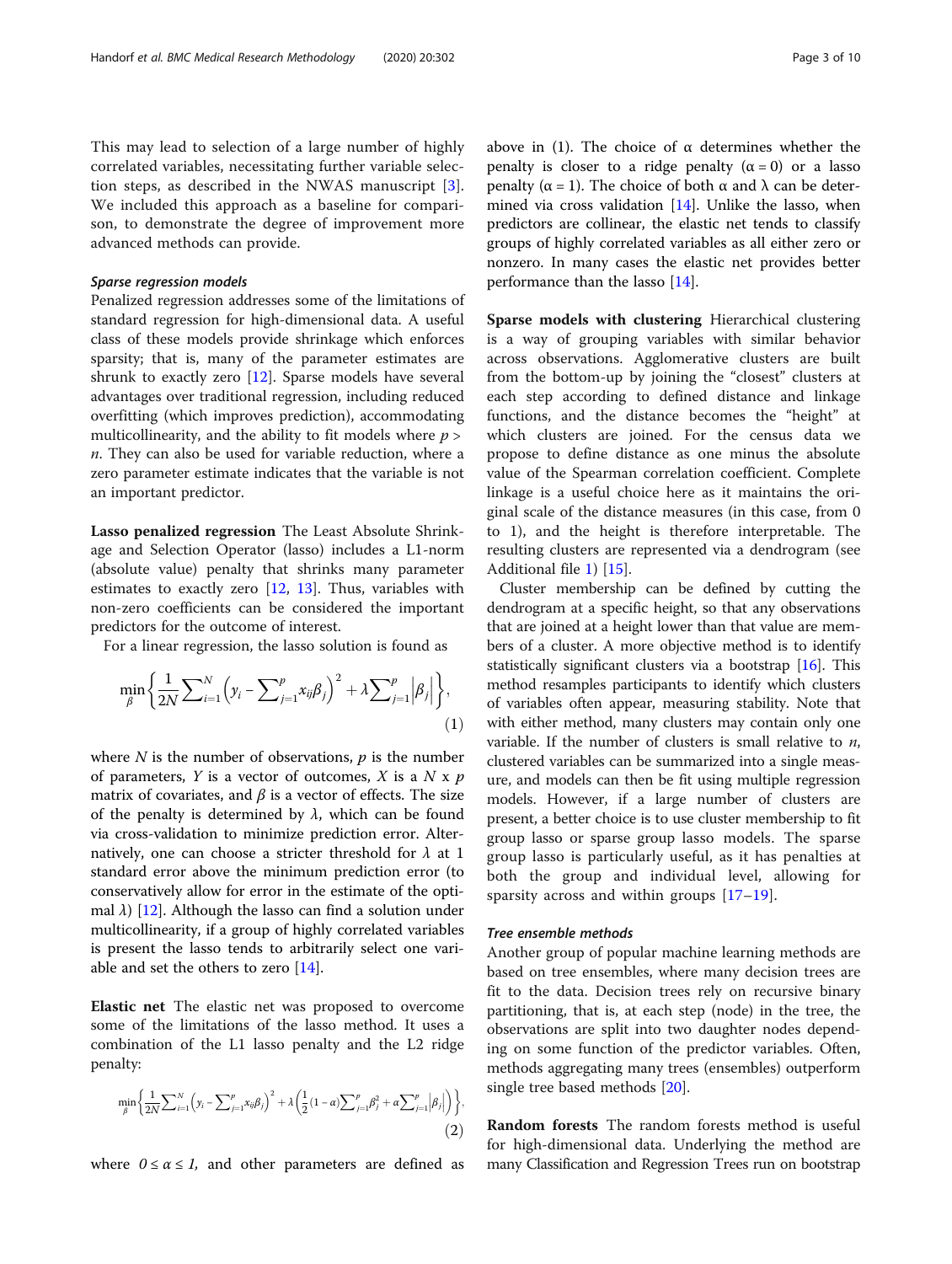#### Sparse regression models

Penalized regression addresses some of the limitations of standard regression for high-dimensional data. A useful class of these models provide shrinkage which enforces sparsity; that is, many of the parameter estimates are shrunk to exactly zero [[12\]](#page-9-0). Sparse models have several advantages over traditional regression, including reduced overfitting (which improves prediction), accommodating multicollinearity, and the ability to fit models where  $p >$  $n$ . They can also be used for variable reduction, where a zero parameter estimate indicates that the variable is not an important predictor.

Lasso penalized regression The Least Absolute Shrinkage and Selection Operator (lasso) includes a L1-norm (absolute value) penalty that shrinks many parameter estimates to exactly zero [\[12](#page-9-0), [13\]](#page-9-0). Thus, variables with non-zero coefficients can be considered the important predictors for the outcome of interest.

For a linear regression, the lasso solution is found as

$$
\min_{\beta} \left\{ \frac{1}{2N} \sum_{i=1}^{N} \left( y_i - \sum_{j=1}^{p} x_{ij} \beta_j \right)^2 + \lambda \sum_{j=1}^{p} \left| \beta_j \right| \right\},\tag{1}
$$

where  $N$  is the number of observations,  $p$  is the number of parameters,  $Y$  is a vector of outcomes,  $X$  is a  $N \times p$ matrix of covariates, and  $\beta$  is a vector of effects. The size of the penalty is determined by  $\lambda$ , which can be found via cross-validation to minimize prediction error. Alternatively, one can choose a stricter threshold for  $\lambda$  at 1 standard error above the minimum prediction error (to conservatively allow for error in the estimate of the optimal  $\lambda$ ) [[12\]](#page-9-0). Although the lasso can find a solution under multicollinearity, if a group of highly correlated variables is present the lasso tends to arbitrarily select one variable and set the others to zero [\[14](#page-9-0)].

Elastic net The elastic net was proposed to overcome some of the limitations of the lasso method. It uses a combination of the L1 lasso penalty and the L2 ridge penalty:

$$
\min_{\beta} \left\{ \frac{1}{2N} \sum_{i=1}^{N} \left( y_i - \sum_{j=1}^{p} x_{ij} \beta_j \right)^2 + \lambda \left( \frac{1}{2} (1 - \alpha) \sum_{j=1}^{p} \beta_j^2 + \alpha \sum_{j=1}^{p} |\beta_j| \right) \right\},\tag{2}
$$

where  $0 \le \alpha \le 1$ , and other parameters are defined as

above in (1). The choice of  $\alpha$  determines whether the penalty is closer to a ridge penalty  $(\alpha = 0)$  or a lasso penalty ( $\alpha$  = 1). The choice of both α and  $\lambda$  can be determined via cross validation [[14\]](#page-9-0). Unlike the lasso, when predictors are collinear, the elastic net tends to classify groups of highly correlated variables as all either zero or nonzero. In many cases the elastic net provides better performance than the lasso [\[14](#page-9-0)].

Sparse models with clustering Hierarchical clustering is a way of grouping variables with similar behavior across observations. Agglomerative clusters are built from the bottom-up by joining the "closest" clusters at each step according to defined distance and linkage functions, and the distance becomes the "height" at which clusters are joined. For the census data we propose to define distance as one minus the absolute value of the Spearman correlation coefficient. Complete linkage is a useful choice here as it maintains the original scale of the distance measures (in this case, from 0 to 1), and the height is therefore interpretable. The resulting clusters are represented via a dendrogram (see Additional file [1](#page-8-0)) [\[15](#page-9-0)].

Cluster membership can be defined by cutting the dendrogram at a specific height, so that any observations that are joined at a height lower than that value are members of a cluster. A more objective method is to identify statistically significant clusters via a bootstrap [[16](#page-9-0)]. This method resamples participants to identify which clusters of variables often appear, measuring stability. Note that with either method, many clusters may contain only one variable. If the number of clusters is small relative to  $n$ , clustered variables can be summarized into a single measure, and models can then be fit using multiple regression models. However, if a large number of clusters are present, a better choice is to use cluster membership to fit group lasso or sparse group lasso models. The sparse group lasso is particularly useful, as it has penalties at both the group and individual level, allowing for sparsity across and within groups [[17](#page-9-0)–[19](#page-9-0)].

#### Tree ensemble methods

Another group of popular machine learning methods are based on tree ensembles, where many decision trees are fit to the data. Decision trees rely on recursive binary partitioning, that is, at each step (node) in the tree, the observations are split into two daughter nodes depending on some function of the predictor variables. Often, methods aggregating many trees (ensembles) outperform single tree based methods [[20\]](#page-9-0).

Random forests The random forests method is useful for high-dimensional data. Underlying the method are many Classification and Regression Trees run on bootstrap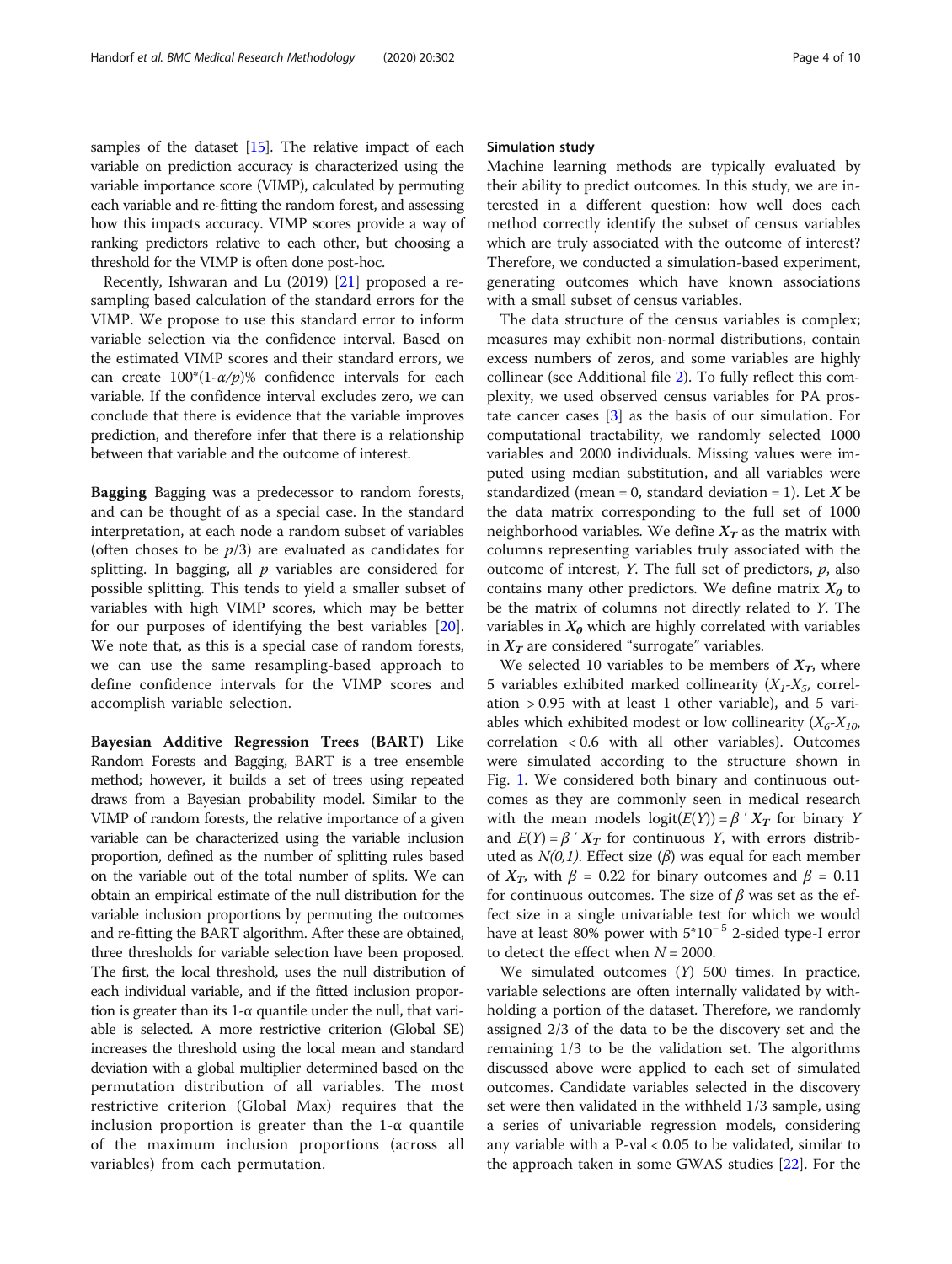samples of the dataset [[15\]](#page-9-0). The relative impact of each variable on prediction accuracy is characterized using the variable importance score (VIMP), calculated by permuting each variable and re-fitting the random forest, and assessing how this impacts accuracy. VIMP scores provide a way of ranking predictors relative to each other, but choosing a threshold for the VIMP is often done post-hoc.

Recently, Ishwaran and Lu (2019) [\[21](#page-9-0)] proposed a resampling based calculation of the standard errors for the VIMP. We propose to use this standard error to inform variable selection via the confidence interval. Based on the estimated VIMP scores and their standard errors, we can create  $100^*(1-\alpha/p)$ % confidence intervals for each variable. If the confidence interval excludes zero, we can conclude that there is evidence that the variable improves prediction, and therefore infer that there is a relationship between that variable and the outcome of interest.

Bagging Bagging was a predecessor to random forests, and can be thought of as a special case. In the standard interpretation, at each node a random subset of variables (often choses to be  $p/3$ ) are evaluated as candidates for splitting. In bagging, all  $p$  variables are considered for possible splitting. This tends to yield a smaller subset of variables with high VIMP scores, which may be better for our purposes of identifying the best variables [\[20](#page-9-0)]. We note that, as this is a special case of random forests, we can use the same resampling-based approach to define confidence intervals for the VIMP scores and accomplish variable selection.

Bayesian Additive Regression Trees (BART) Like Random Forests and Bagging, BART is a tree ensemble method; however, it builds a set of trees using repeated draws from a Bayesian probability model. Similar to the VIMP of random forests, the relative importance of a given variable can be characterized using the variable inclusion proportion, defined as the number of splitting rules based on the variable out of the total number of splits. We can obtain an empirical estimate of the null distribution for the variable inclusion proportions by permuting the outcomes and re-fitting the BART algorithm. After these are obtained, three thresholds for variable selection have been proposed. The first, the local threshold, uses the null distribution of each individual variable, and if the fitted inclusion proportion is greater than its 1-α quantile under the null, that variable is selected. A more restrictive criterion (Global SE) increases the threshold using the local mean and standard deviation with a global multiplier determined based on the permutation distribution of all variables. The most restrictive criterion (Global Max) requires that the inclusion proportion is greater than the  $1-\alpha$  quantile of the maximum inclusion proportions (across all variables) from each permutation.

#### Simulation study

Machine learning methods are typically evaluated by their ability to predict outcomes. In this study, we are interested in a different question: how well does each method correctly identify the subset of census variables which are truly associated with the outcome of interest? Therefore, we conducted a simulation-based experiment, generating outcomes which have known associations with a small subset of census variables.

The data structure of the census variables is complex; measures may exhibit non-normal distributions, contain excess numbers of zeros, and some variables are highly collinear (see Additional file [2\)](#page-8-0). To fully reflect this complexity, we used observed census variables for PA prostate cancer cases  $\begin{bmatrix} 3 \end{bmatrix}$  as the basis of our simulation. For computational tractability, we randomly selected 1000 variables and 2000 individuals. Missing values were imputed using median substitution, and all variables were standardized (mean = 0, standard deviation = 1). Let X be the data matrix corresponding to the full set of 1000 neighborhood variables. We define  $X_T$  as the matrix with columns representing variables truly associated with the outcome of interest,  $Y$ . The full set of predictors,  $p$ , also contains many other predictors. We define matrix  $X_0$  to be the matrix of columns not directly related to Y. The variables in  $X_0$  which are highly correlated with variables in  $X_T$  are considered "surrogate" variables.

We selected 10 variables to be members of  $X_T$ , where 5 variables exhibited marked collinearity  $(X_1-X_5, \text{ correl-})$ ation  $> 0.95$  with at least 1 other variable), and 5 variables which exhibited modest or low collinearity  $(X_6 - X_{10})$ , correlation < 0.6 with all other variables). Outcomes were simulated according to the structure shown in Fig. [1](#page-4-0). We considered both binary and continuous outcomes as they are commonly seen in medical research with the mean models  $logit(E(Y)) = \beta' X_T$  for binary Y and  $E(Y) = \beta' X_T$  for continuous Y, with errors distributed as  $N(0,1)$ . Effect size (β) was equal for each member of  $X_T$ , with  $\beta = 0.22$  for binary outcomes and  $\beta = 0.11$ for continuous outcomes. The size of  $\beta$  was set as the effect size in a single univariable test for which we would have at least 80% power with 5\*10<sup>-5</sup> 2-sided type-I error to detect the effect when  $N = 2000$ .

We simulated outcomes (Y) 500 times. In practice, variable selections are often internally validated by withholding a portion of the dataset. Therefore, we randomly assigned 2/3 of the data to be the discovery set and the remaining 1/3 to be the validation set. The algorithms discussed above were applied to each set of simulated outcomes. Candidate variables selected in the discovery set were then validated in the withheld 1/3 sample, using a series of univariable regression models, considering any variable with a P-val < 0.05 to be validated, similar to the approach taken in some GWAS studies [\[22](#page-9-0)]. For the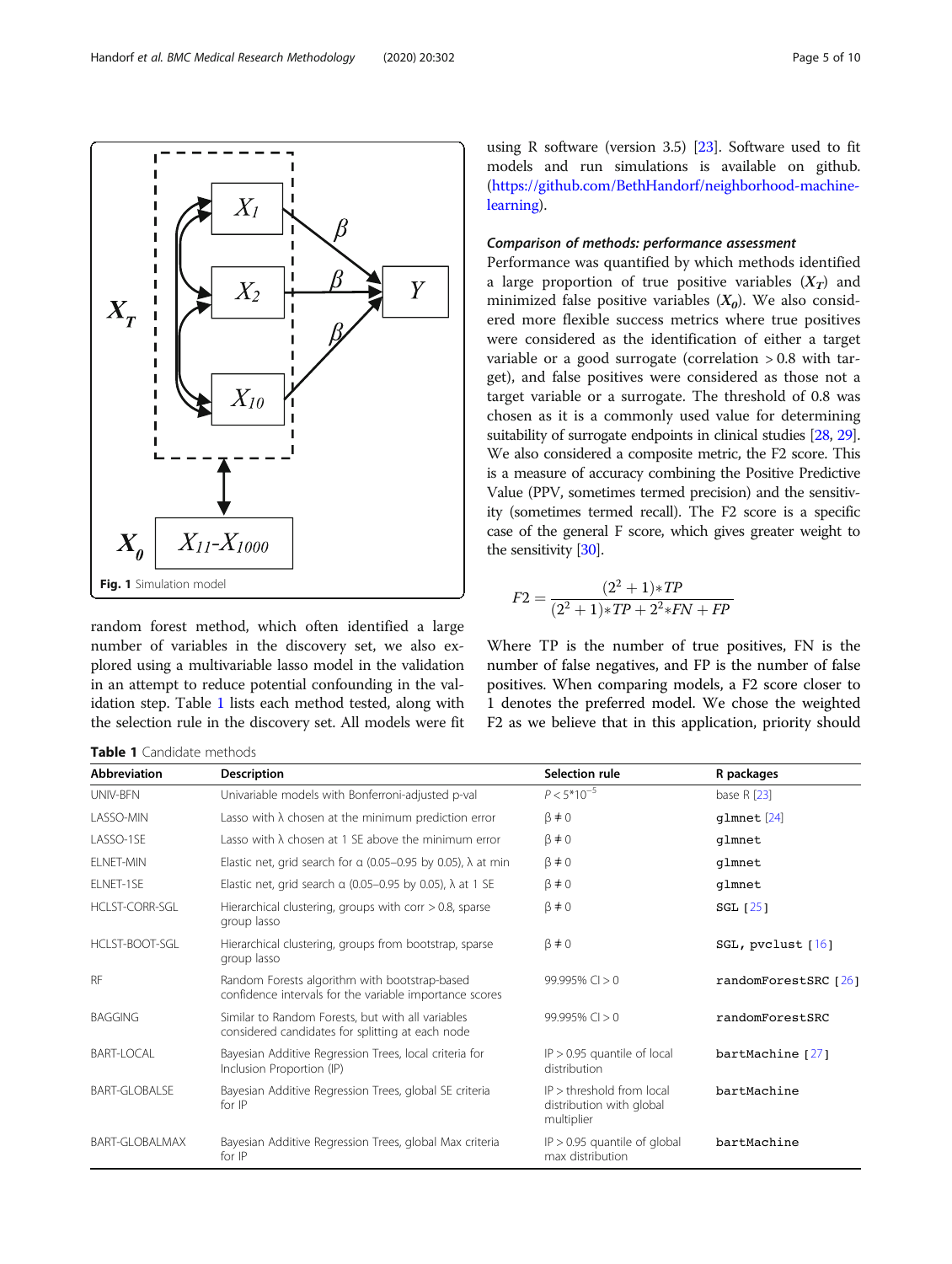random forest method, which often identified a large number of variables in the discovery set, we also explored using a multivariable lasso model in the validation in an attempt to reduce potential confounding in the validation step. Table 1 lists each method tested, along with the selection rule in the discovery set. All models were fit

Table 1 Candidate methods

| <b>Abbreviation</b>   | <b>Description</b>                                                                                       | Selection rule                                                        | R packages           |
|-----------------------|----------------------------------------------------------------------------------------------------------|-----------------------------------------------------------------------|----------------------|
| UNIV-BFN              | Univariable models with Bonferroni-adjusted p-val                                                        | $P < 5*10^{-5}$                                                       | base $R$ [23]        |
| LASSO-MIN             | Lasso with $\lambda$ chosen at the minimum prediction error                                              | $\beta \neq 0$                                                        | glmnet [24]          |
| LASSO-1SE             | Lasso with $\lambda$ chosen at 1 SE above the minimum error                                              | $\beta \neq 0$                                                        | glmnet               |
| ELNET-MIN             | Elastic net, grid search for $\alpha$ (0.05–0.95 by 0.05), $\lambda$ at min                              | $\beta \neq 0$                                                        | glmnet               |
| FINFT-1SF             | Elastic net, grid search $\alpha$ (0.05-0.95 by 0.05), $\lambda$ at 1 SE                                 | $\beta \neq 0$                                                        | glmnet               |
| <b>HCLST-CORR-SGL</b> | Hierarchical clustering, groups with corr $> 0.8$ , sparse<br>group lasso                                | $\beta \neq 0$                                                        | <b>SGL</b> [25]      |
| HCLST-BOOT-SGL        | Hierarchical clustering, groups from bootstrap, sparse<br>group lasso                                    | $\beta \neq 0$                                                        | SGL, pvclust $[16]$  |
| <b>RF</b>             | Random Forests algorithm with bootstrap-based<br>confidence intervals for the variable importance scores | 99.995% $C1 > 0$                                                      | randomForestSRC [26] |
| <b>BAGGING</b>        | Similar to Random Forests, but with all variables<br>considered candidates for splitting at each node    | 99.995% $C > 0$                                                       | randomForestSRC      |
| <b>BART-LOCAL</b>     | Bayesian Additive Regression Trees, local criteria for<br>Inclusion Proportion (IP)                      | $IP > 0.95$ quantile of local<br>distribution                         | bartMachine [27]     |
| <b>BART-GLOBALSE</b>  | Bayesian Additive Regression Trees, global SE criteria<br>for IP                                         | $IP$ > threshold from local<br>distribution with global<br>multiplier | bartMachine          |
| BART-GLOBALMAX        | Bayesian Additive Regression Trees, global Max criteria<br>for IP                                        | $IP > 0.95$ quantile of global<br>max distribution                    | bartMachine          |

using R software (version 3.5) [[23\]](#page-9-0). Software used to fit models and run simulations is available on github. ([https://github.com/BethHandorf/neighborhood-machine](https://github.com/BethHandorf/neighborhood-machine-learning)[learning](https://github.com/BethHandorf/neighborhood-machine-learning)).

## Comparison of methods: performance assessment

Performance was quantified by which methods identified a large proportion of true positive variables  $(X_T)$  and minimized false positive variables  $(X_0)$ . We also considered more flexible success metrics where true positives were considered as the identification of either a target variable or a good surrogate (correlation > 0.8 with target), and false positives were considered as those not a target variable or a surrogate. The threshold of 0.8 was chosen as it is a commonly used value for determining suitability of surrogate endpoints in clinical studies [[28](#page-9-0), [29](#page-9-0)]. We also considered a composite metric, the F2 score. This is a measure of accuracy combining the Positive Predictive Value (PPV, sometimes termed precision) and the sensitivity (sometimes termed recall). The F2 score is a specific case of the general F score, which gives greater weight to the sensitivity [[30\]](#page-9-0).

$$
F2 = \frac{(2^2 + 1)*TP}{(2^2 + 1)*TP + 2^2*FN + FP}
$$

Where TP is the number of true positives, FN is the number of false negatives, and FP is the number of false positives. When comparing models, a F2 score closer to 1 denotes the preferred model. We chose the weighted F2 as we believe that in this application, priority should

<span id="page-4-0"></span>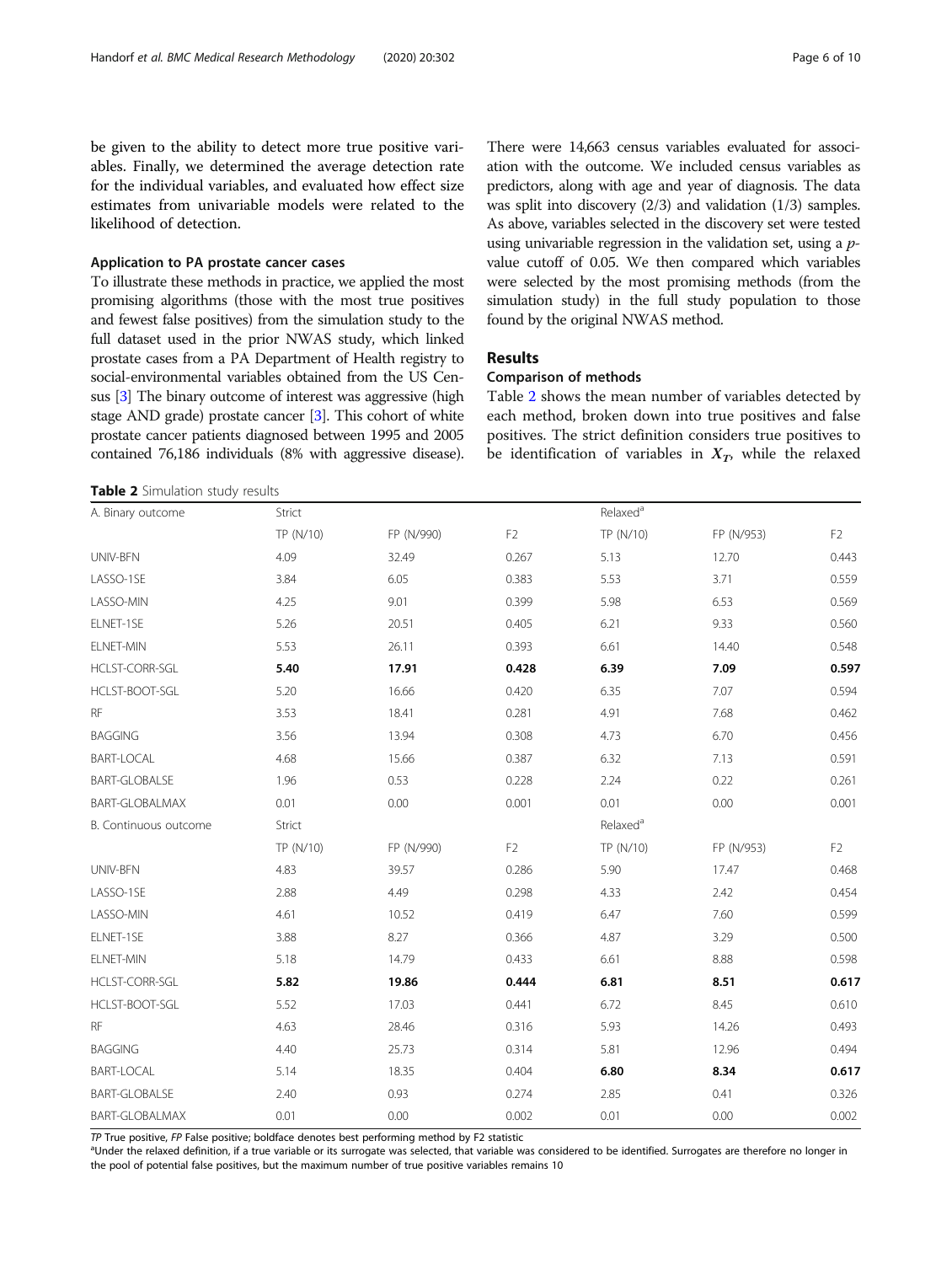be given to the ability to detect more true positive variables. Finally, we determined the average detection rate for the individual variables, and evaluated how effect size estimates from univariable models were related to the likelihood of detection.

# Application to PA prostate cancer cases

To illustrate these methods in practice, we applied the most promising algorithms (those with the most true positives and fewest false positives) from the simulation study to the full dataset used in the prior NWAS study, which linked prostate cases from a PA Department of Health registry to social-environmental variables obtained from the US Census [\[3\]](#page-9-0) The binary outcome of interest was aggressive (high stage AND grade) prostate cancer [[3](#page-9-0)]. This cohort of white prostate cancer patients diagnosed between 1995 and 2005 contained 76,186 individuals (8% with aggressive disease).

There were 14,663 census variables evaluated for association with the outcome. We included census variables as predictors, along with age and year of diagnosis. The data was split into discovery (2/3) and validation (1/3) samples. As above, variables selected in the discovery set were tested using univariable regression in the validation set, using a  $p$ value cutoff of 0.05. We then compared which variables were selected by the most promising methods (from the simulation study) in the full study population to those found by the original NWAS method.

# Results

# Comparison of methods

Table 2 shows the mean number of variables detected by each method, broken down into true positives and false positives. The strict definition considers true positives to be identification of variables in  $X_T$ , while the relaxed

| Table 2 Simulation study results |           |            |                |                      |            |                |
|----------------------------------|-----------|------------|----------------|----------------------|------------|----------------|
| A. Binary outcome                | Strict    |            |                | Relaxed <sup>a</sup> |            |                |
|                                  | TP (N/10) | FP (N/990) | F <sub>2</sub> | TP (N/10)            | FP (N/953) | F <sub>2</sub> |
| UNIV-BFN                         | 4.09      | 32.49      | 0.267          | 5.13                 | 12.70      | 0.443          |
| LASSO-1SE                        | 3.84      | 6.05       | 0.383          | 5.53                 | 3.71       | 0.559          |
| LASSO-MIN                        | 4.25      | 9.01       | 0.399          | 5.98                 | 6.53       | 0.569          |
| ELNET-1SE                        | 5.26      | 20.51      | 0.405          | 6.21                 | 9.33       | 0.560          |
| ELNET-MIN                        | 5.53      | 26.11      | 0.393          | 6.61                 | 14.40      | 0.548          |
| <b>HCLST-CORR-SGL</b>            | 5.40      | 17.91      | 0.428          | 6.39                 | 7.09       | 0.597          |
| HCLST-BOOT-SGL                   | 5.20      | 16.66      | 0.420          | 6.35                 | 7.07       | 0.594          |
| <b>RF</b>                        | 3.53      | 18.41      | 0.281          | 4.91                 | 7.68       | 0.462          |
| <b>BAGGING</b>                   | 3.56      | 13.94      | 0.308          | 4.73                 | 6.70       | 0.456          |
| <b>BART-LOCAL</b>                | 4.68      | 15.66      | 0.387          | 6.32                 | 7.13       | 0.591          |
| <b>BART-GLOBALSE</b>             | 1.96      | 0.53       | 0.228          | 2.24                 | 0.22       | 0.261          |
| <b>BART-GLOBALMAX</b>            | 0.01      | 0.00       | 0.001          | 0.01                 | 0.00       | 0.001          |
| B. Continuous outcome            | Strict    |            |                | Relaxed <sup>a</sup> |            |                |
|                                  | TP (N/10) | FP (N/990) | F <sub>2</sub> | TP (N/10)            | FP (N/953) | F <sub>2</sub> |
| UNIV-BFN                         | 4.83      | 39.57      | 0.286          | 5.90                 | 17.47      | 0.468          |
| LASSO-1SE                        | 2.88      | 4.49       | 0.298          | 4.33                 | 2.42       | 0.454          |
| LASSO-MIN                        | 4.61      | 10.52      | 0.419          | 6.47                 | 7.60       | 0.599          |
| ELNET-1SE                        | 3.88      | 8.27       | 0.366          | 4.87                 | 3.29       | 0.500          |
| ELNET-MIN                        | 5.18      | 14.79      | 0.433          | 6.61                 | 8.88       | 0.598          |
| <b>HCLST-CORR-SGL</b>            | 5.82      | 19.86      | 0.444          | 6.81                 | 8.51       | 0.617          |
| HCLST-BOOT-SGL                   | 5.52      | 17.03      | 0.441          | 6.72                 | 8.45       | 0.610          |
| <b>RF</b>                        | 4.63      | 28.46      | 0.316          | 5.93                 | 14.26      | 0.493          |
| <b>BAGGING</b>                   | 4.40      | 25.73      | 0.314          | 5.81                 | 12.96      | 0.494          |
| <b>BART-LOCAL</b>                | 5.14      | 18.35      | 0.404          | 6.80                 | 8.34       | 0.617          |
| <b>BART-GLOBALSE</b>             | 2.40      | 0.93       | 0.274          | 2.85                 | 0.41       | 0.326          |
| <b>BART-GLOBALMAX</b>            | 0.01      | 0.00       | 0.002          | 0.01                 | 0.00       | 0.002          |

 $TP$  True positive,  $FP$  False positive; boldface denotes best performing method by F2 statistic

<sup>a</sup>Under the relaxed definition, if a true variable or its surrogate was selected, that variable was considered to be identified. Surrogates are therefore no longer in the pool of potential false positives, but the maximum number of true positive variables remains 10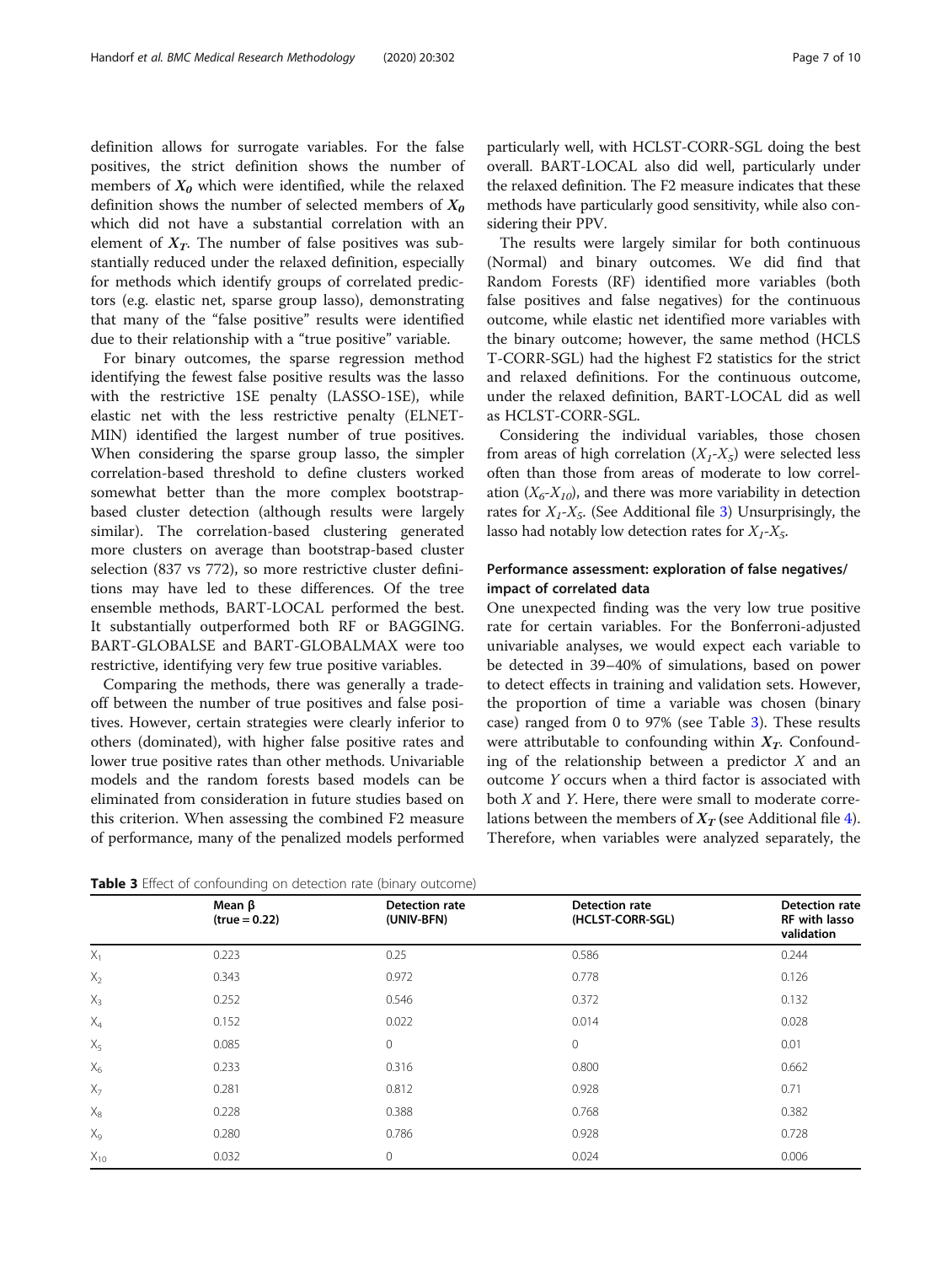<span id="page-6-0"></span>definition allows for surrogate variables. For the false positives, the strict definition shows the number of members of  $X_0$  which were identified, while the relaxed definition shows the number of selected members of  $X_0$ which did not have a substantial correlation with an

element of  $X_T$ . The number of false positives was substantially reduced under the relaxed definition, especially for methods which identify groups of correlated predictors (e.g. elastic net, sparse group lasso), demonstrating that many of the "false positive" results were identified due to their relationship with a "true positive" variable.

For binary outcomes, the sparse regression method identifying the fewest false positive results was the lasso with the restrictive 1SE penalty (LASSO-1SE), while elastic net with the less restrictive penalty (ELNET-MIN) identified the largest number of true positives. When considering the sparse group lasso, the simpler correlation-based threshold to define clusters worked somewhat better than the more complex bootstrapbased cluster detection (although results were largely similar). The correlation-based clustering generated more clusters on average than bootstrap-based cluster selection (837 vs 772), so more restrictive cluster definitions may have led to these differences. Of the tree ensemble methods, BART-LOCAL performed the best. It substantially outperformed both RF or BAGGING. BART-GLOBALSE and BART-GLOBALMAX were too restrictive, identifying very few true positive variables.

Comparing the methods, there was generally a tradeoff between the number of true positives and false positives. However, certain strategies were clearly inferior to others (dominated), with higher false positive rates and lower true positive rates than other methods. Univariable models and the random forests based models can be eliminated from consideration in future studies based on this criterion. When assessing the combined F2 measure of performance, many of the penalized models performed particularly well, with HCLST-CORR-SGL doing the best overall. BART-LOCAL also did well, particularly under the relaxed definition. The F2 measure indicates that these methods have particularly good sensitivity, while also considering their PPV.

The results were largely similar for both continuous (Normal) and binary outcomes. We did find that Random Forests (RF) identified more variables (both false positives and false negatives) for the continuous outcome, while elastic net identified more variables with the binary outcome; however, the same method (HCLS T-CORR-SGL) had the highest F2 statistics for the strict and relaxed definitions. For the continuous outcome, under the relaxed definition, BART-LOCAL did as well as HCLST-CORR-SGL.

Considering the individual variables, those chosen from areas of high correlation  $(X_1-X_5)$  were selected less often than those from areas of moderate to low correlation  $(X_{6}-X_{10})$ , and there was more variability in detection rates for  $X_1$ - $X_5$ . (See Additional file [3](#page-8-0)) Unsurprisingly, the lasso had notably low detection rates for  $X_1 - X_5$ .

# Performance assessment: exploration of false negatives/ impact of correlated data

One unexpected finding was the very low true positive rate for certain variables. For the Bonferroni-adjusted univariable analyses, we would expect each variable to be detected in 39–40% of simulations, based on power to detect effects in training and validation sets. However, the proportion of time a variable was chosen (binary case) ranged from 0 to 97% (see Table 3). These results were attributable to confounding within  $X_T$ . Confounding of the relationship between a predictor  $X$  and an outcome Y occurs when a third factor is associated with both  $X$  and  $Y$ . Here, there were small to moderate correlations between the members of  $X_T$  (see Additional file [4](#page-8-0)). Therefore, when variables were analyzed separately, the

|          | Mean $\beta$<br>$(true = 0.22)$ | <b>Detection rate</b><br>(UNIV-BFN) | <b>Detection rate</b><br>(HCLST-CORR-SGL) | <b>Detection rat</b><br><b>RF</b> with lasso<br>validation |
|----------|---------------------------------|-------------------------------------|-------------------------------------------|------------------------------------------------------------|
| $X_1$    | 0.223                           | 0.25                                | 0.586                                     | 0.244                                                      |
| $X_2$    | 0.343                           | 0.972                               | 0.778                                     | 0.126                                                      |
| X3       | 0.252                           | 0.546                               | 0.372                                     | 0.132                                                      |
| $X_4$    | 0.152                           | 0.022                               | 0.014                                     | 0.028                                                      |
| Х5       | 0.085                           | 0                                   | $\Omega$                                  | 0.01                                                       |
| $X_{6}$  | 0.233                           | 0.316                               | 0.800                                     | 0.662                                                      |
| Х,       | 0.281                           | 0.812                               | 0.928                                     | 0.71                                                       |
| $X_8$    | 0.228                           | 0.388                               | 0.768                                     | 0.382                                                      |
| X9       | 0.280                           | 0.786                               | 0.928                                     | 0.728                                                      |
| $X_{10}$ | 0.032                           | 0                                   | 0.024                                     | 0.006                                                      |
|          |                                 |                                     |                                           |                                                            |

Table 3 Effect of confounding on detection rate (binary outcome)

rate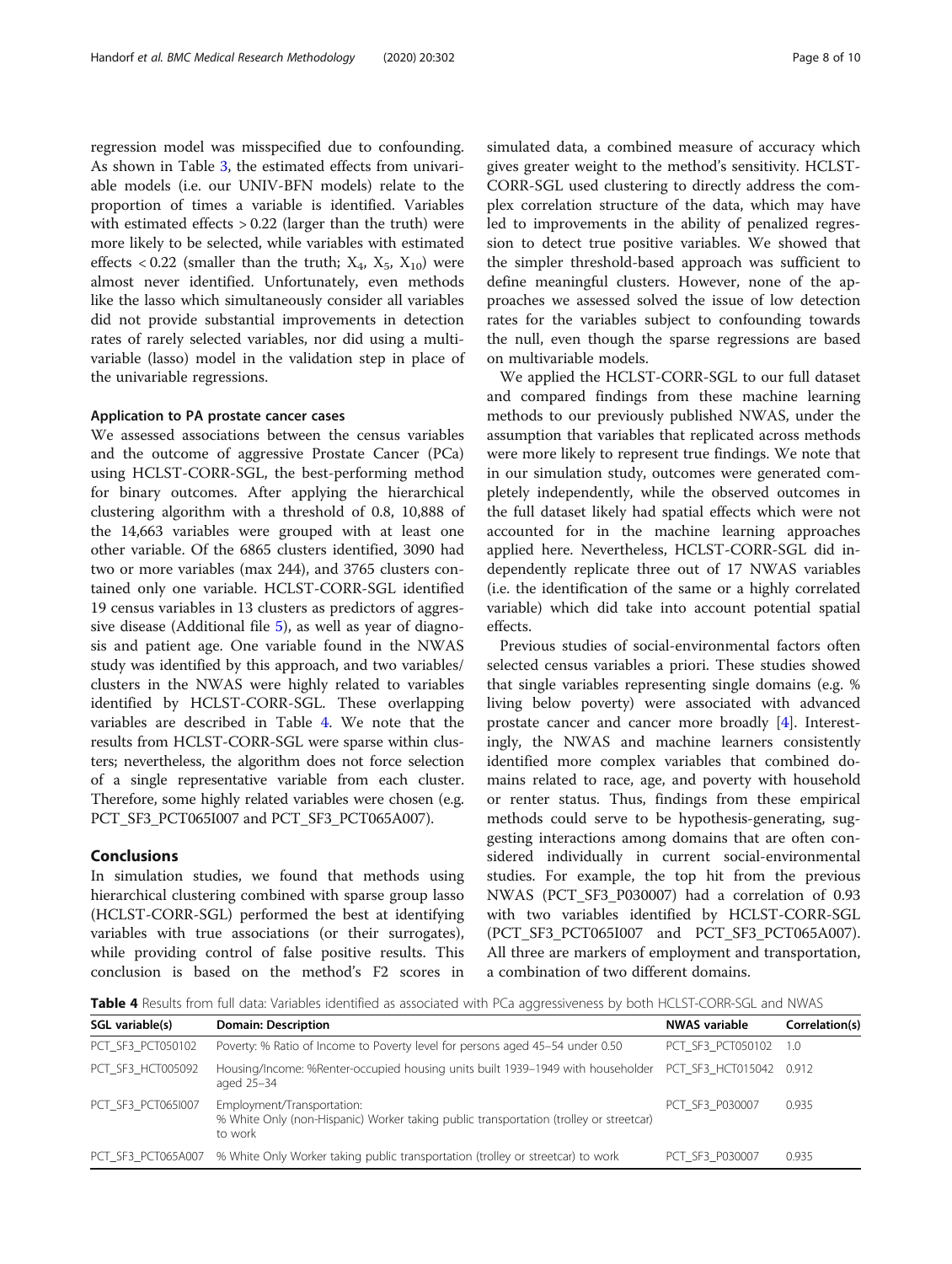regression model was misspecified due to confounding. As shown in Table [3,](#page-6-0) the estimated effects from univariable models (i.e. our UNIV-BFN models) relate to the proportion of times a variable is identified. Variables with estimated effects > 0.22 (larger than the truth) were more likely to be selected, while variables with estimated effects < 0.22 (smaller than the truth;  $X_4$ ,  $X_5$ ,  $X_{10}$ ) were almost never identified. Unfortunately, even methods like the lasso which simultaneously consider all variables did not provide substantial improvements in detection rates of rarely selected variables, nor did using a multivariable (lasso) model in the validation step in place of the univariable regressions.

#### Application to PA prostate cancer cases

We assessed associations between the census variables and the outcome of aggressive Prostate Cancer (PCa) using HCLST-CORR-SGL, the best-performing method for binary outcomes. After applying the hierarchical clustering algorithm with a threshold of 0.8, 10,888 of the 14,663 variables were grouped with at least one other variable. Of the 6865 clusters identified, 3090 had two or more variables (max 244), and 3765 clusters contained only one variable. HCLST-CORR-SGL identified 19 census variables in 13 clusters as predictors of aggressive disease (Additional file [5](#page-8-0)), as well as year of diagnosis and patient age. One variable found in the NWAS study was identified by this approach, and two variables/ clusters in the NWAS were highly related to variables identified by HCLST-CORR-SGL. These overlapping variables are described in Table 4. We note that the results from HCLST-CORR-SGL were sparse within clusters; nevertheless, the algorithm does not force selection of a single representative variable from each cluster. Therefore, some highly related variables were chosen (e.g. PCT\_SF3\_PCT065I007 and PCT\_SF3\_PCT065A007).

# Conclusions

In simulation studies, we found that methods using hierarchical clustering combined with sparse group lasso (HCLST-CORR-SGL) performed the best at identifying variables with true associations (or their surrogates), while providing control of false positive results. This conclusion is based on the method's F2 scores in simulated data, a combined measure of accuracy which gives greater weight to the method's sensitivity. HCLST-CORR-SGL used clustering to directly address the complex correlation structure of the data, which may have led to improvements in the ability of penalized regression to detect true positive variables. We showed that the simpler threshold-based approach was sufficient to define meaningful clusters. However, none of the approaches we assessed solved the issue of low detection rates for the variables subject to confounding towards the null, even though the sparse regressions are based on multivariable models.

We applied the HCLST-CORR-SGL to our full dataset and compared findings from these machine learning methods to our previously published NWAS, under the assumption that variables that replicated across methods were more likely to represent true findings. We note that in our simulation study, outcomes were generated completely independently, while the observed outcomes in the full dataset likely had spatial effects which were not accounted for in the machine learning approaches applied here. Nevertheless, HCLST-CORR-SGL did independently replicate three out of 17 NWAS variables (i.e. the identification of the same or a highly correlated variable) which did take into account potential spatial effects.

Previous studies of social-environmental factors often selected census variables a priori. These studies showed that single variables representing single domains (e.g. % living below poverty) were associated with advanced prostate cancer and cancer more broadly [[4\]](#page-9-0). Interestingly, the NWAS and machine learners consistently identified more complex variables that combined domains related to race, age, and poverty with household or renter status. Thus, findings from these empirical methods could serve to be hypothesis-generating, suggesting interactions among domains that are often considered individually in current social-environmental studies. For example, the top hit from the previous NWAS (PCT\_SF3\_P030007) had a correlation of 0.93 with two variables identified by HCLST-CORR-SGL (PCT\_SF3\_PCT065I007 and PCT\_SF3\_PCT065A007). All three are markers of employment and transportation, a combination of two different domains.

Table 4 Results from full data: Variables identified as associated with PCa aggressiveness by both HCLST-CORR-SGL and NWAS

| SGL variable(s)    | <b>Domain: Description</b>                                                                                                      | NWAS variable           | Correlation(s) |
|--------------------|---------------------------------------------------------------------------------------------------------------------------------|-------------------------|----------------|
| PCT SF3 PCT050102  | Poverty: % Ratio of Income to Poverty level for persons aged 45-54 under 0.50                                                   | PCT SF3 PCT050102       | 1.0            |
| PCT SF3 HCT005092  | Housing/Income: %Renter-occupied housing units built 1939–1949 with householder<br>aged 25-34                                   | PCT SF3 HCT015042 0.912 |                |
| PCT SF3 PCT0651007 | Employment/Transportation:<br>% White Only (non-Hispanic) Worker taking public transportation (trolley or streetcar)<br>to work | PCT SF3 P030007         | 0.935          |
| PCT SF3 PCT065A007 | % White Only Worker taking public transportation (trolley or streetcar) to work                                                 | PCT SF3 P030007         | 0.935          |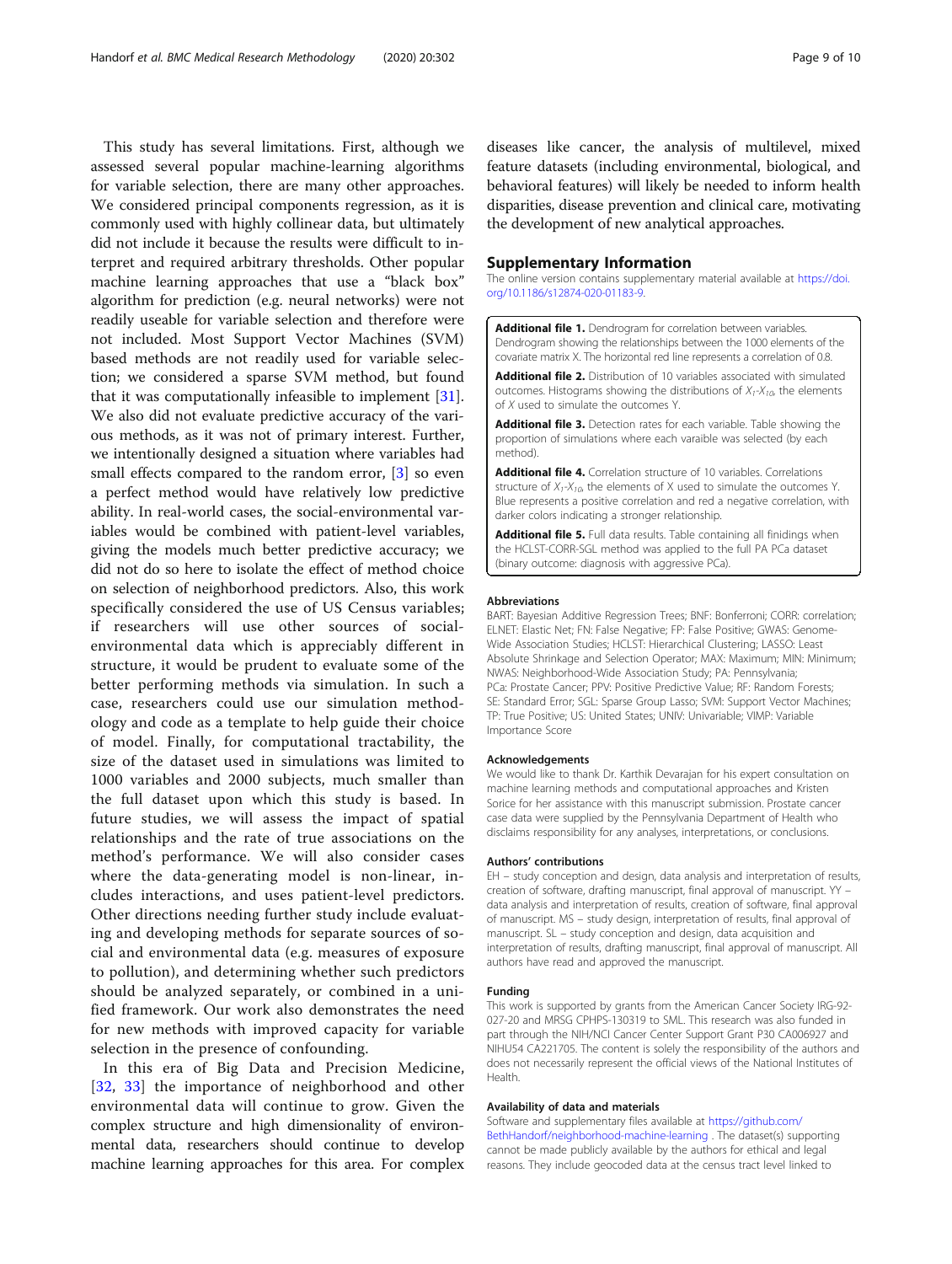<span id="page-8-0"></span>This study has several limitations. First, although we assessed several popular machine-learning algorithms for variable selection, there are many other approaches. We considered principal components regression, as it is commonly used with highly collinear data, but ultimately did not include it because the results were difficult to interpret and required arbitrary thresholds. Other popular machine learning approaches that use a "black box" algorithm for prediction (e.g. neural networks) were not readily useable for variable selection and therefore were not included. Most Support Vector Machines (SVM) based methods are not readily used for variable selection; we considered a sparse SVM method, but found that it was computationally infeasible to implement [\[31](#page-9-0)]. We also did not evaluate predictive accuracy of the various methods, as it was not of primary interest. Further, we intentionally designed a situation where variables had small effects compared to the random error, [[3\]](#page-9-0) so even a perfect method would have relatively low predictive ability. In real-world cases, the social-environmental variables would be combined with patient-level variables, giving the models much better predictive accuracy; we did not do so here to isolate the effect of method choice on selection of neighborhood predictors. Also, this work specifically considered the use of US Census variables; if researchers will use other sources of socialenvironmental data which is appreciably different in structure, it would be prudent to evaluate some of the better performing methods via simulation. In such a case, researchers could use our simulation methodology and code as a template to help guide their choice of model. Finally, for computational tractability, the size of the dataset used in simulations was limited to 1000 variables and 2000 subjects, much smaller than the full dataset upon which this study is based. In future studies, we will assess the impact of spatial relationships and the rate of true associations on the method's performance. We will also consider cases where the data-generating model is non-linear, includes interactions, and uses patient-level predictors. Other directions needing further study include evaluating and developing methods for separate sources of social and environmental data (e.g. measures of exposure to pollution), and determining whether such predictors should be analyzed separately, or combined in a unified framework. Our work also demonstrates the need for new methods with improved capacity for variable selection in the presence of confounding.

In this era of Big Data and Precision Medicine, [[32](#page-9-0), [33](#page-9-0)] the importance of neighborhood and other environmental data will continue to grow. Given the complex structure and high dimensionality of environmental data, researchers should continue to develop machine learning approaches for this area. For complex diseases like cancer, the analysis of multilevel, mixed feature datasets (including environmental, biological, and behavioral features) will likely be needed to inform health disparities, disease prevention and clinical care, motivating the development of new analytical approaches.

#### Supplementary Information

The online version contains supplementary material available at [https://doi.](https://doi.org/10.1186/s12874-020-01183-9) [org/10.1186/s12874-020-01183-9.](https://doi.org/10.1186/s12874-020-01183-9)

Additional file 1. Dendrogram for correlation between variables. Dendrogram showing the relationships between the 1000 elements of the covariate matrix X. The horizontal red line represents a correlation of 0.8.

Additional file 2. Distribution of 10 variables associated with simulated outcomes. Histograms showing the distributions of  $X_1$ - $X_{10}$ , the elements of X used to simulate the outcomes Y.

Additional file 3. Detection rates for each variable. Table showing the proportion of simulations where each varaible was selected (by each method).

Additional file 4. Correlation structure of 10 variables. Correlations structure of  $X_1$ - $X_{10}$ , the elements of X used to simulate the outcomes Y. Blue represents a positive correlation and red a negative correlation, with darker colors indicating a stronger relationship.

Additional file 5. Full data results. Table containing all finidings when the HCLST-CORR-SGL method was applied to the full PA PCa dataset (binary outcome: diagnosis with aggressive PCa).

#### Abbreviations

BART: Bayesian Additive Regression Trees; BNF: Bonferroni; CORR: correlation; ELNET: Elastic Net; FN: False Negative; FP: False Positive; GWAS: Genome-Wide Association Studies; HCLST: Hierarchical Clustering; LASSO: Least Absolute Shrinkage and Selection Operator; MAX: Maximum; MIN: Minimum; NWAS: Neighborhood-Wide Association Study; PA: Pennsylvania; PCa: Prostate Cancer; PPV: Positive Predictive Value; RF: Random Forests; SE: Standard Error; SGL: Sparse Group Lasso; SVM: Support Vector Machines; TP: True Positive; US: United States; UNIV: Univariable; VIMP: Variable Importance Score

#### Acknowledgements

We would like to thank Dr. Karthik Devarajan for his expert consultation on machine learning methods and computational approaches and Kristen Sorice for her assistance with this manuscript submission. Prostate cancer case data were supplied by the Pennsylvania Department of Health who disclaims responsibility for any analyses, interpretations, or conclusions.

#### Authors' contributions

EH – study conception and design, data analysis and interpretation of results, creation of software, drafting manuscript, final approval of manuscript. YY – data analysis and interpretation of results, creation of software, final approval of manuscript. MS – study design, interpretation of results, final approval of manuscript. SL – study conception and design, data acquisition and interpretation of results, drafting manuscript, final approval of manuscript. All authors have read and approved the manuscript.

#### Funding

This work is supported by grants from the American Cancer Society IRG-92- 027-20 and MRSG CPHPS-130319 to SML. This research was also funded in part through the NIH/NCI Cancer Center Support Grant P30 CA006927 and NIHU54 CA221705. The content is solely the responsibility of the authors and does not necessarily represent the official views of the National Institutes of Health.

#### Availability of data and materials

Software and supplementary files available at [https://github.com/](https://github.com/BethHandorf/neighborhood-machine-learning) [BethHandorf/neighborhood-machine-learning](https://github.com/BethHandorf/neighborhood-machine-learning) . The dataset(s) supporting cannot be made publicly available by the authors for ethical and legal reasons. They include geocoded data at the census tract level linked to